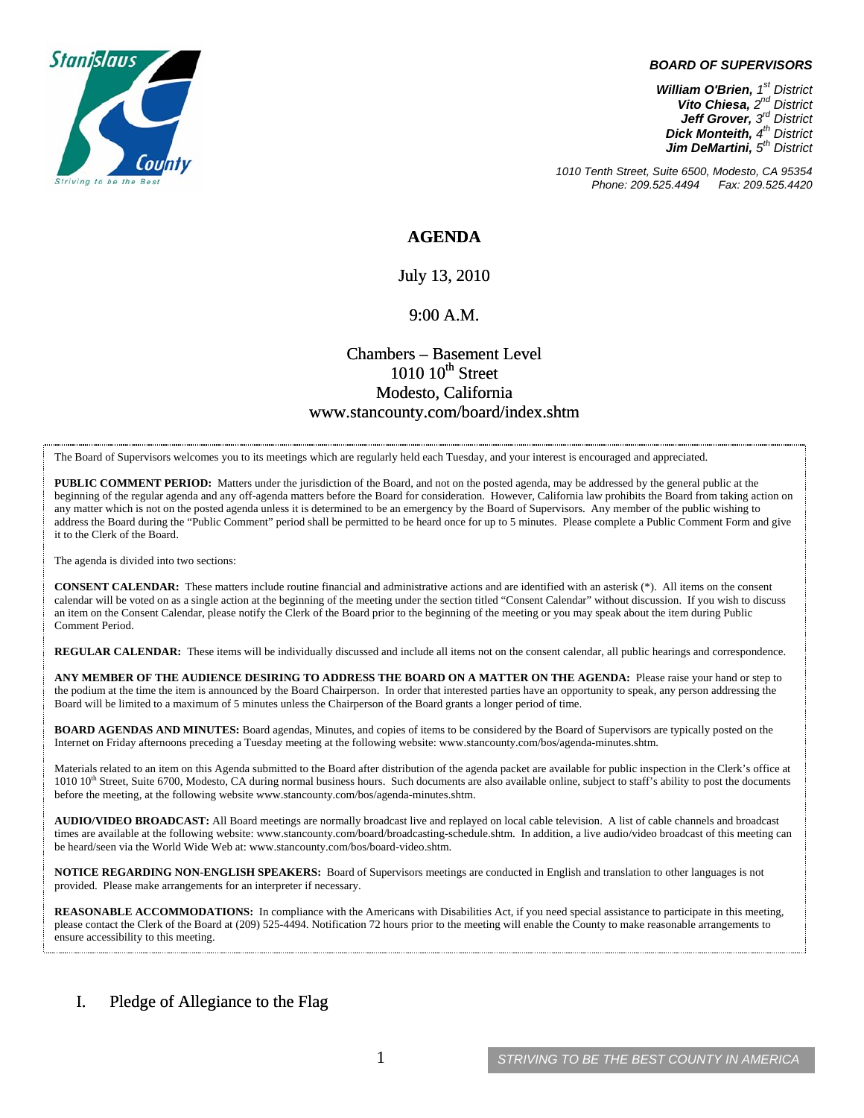

#### *BOARD OF SUPERVISORS*

*William O'Brien, 1st District Vito Chiesa, 2nd District Jeff Grover, 3rd District Dick Monteith, 4th District Jim DeMartini, 5th District*

*1010 Tenth Street, Suite 6500, Modesto, CA 95354 Phone: 209.525.4494* 

### **AGENDA**

July 13, 2010

### 9:00 A.M.

## Chambers – Basement Level  $1010~10$ <sup>th</sup> Street Modesto, California www.stancounty.com/board/index.shtm

The Board of Supervisors welcomes you to its meetings which are regularly held each Tuesday, and your interest is encouraged and appreciated.

**PUBLIC COMMENT PERIOD:** Matters under the jurisdiction of the Board, and not on the posted agenda, may be addressed by the general public at the beginning of the regular agenda and any off-agenda matters before the Board for consideration. However, California law prohibits the Board from taking action on any matter which is not on the posted agenda unless it is determined to be an emergency by the Board of Supervisors. Any member of the public wishing to address the Board during the "Public Comment" period shall be permitted to be heard once for up to 5 minutes. Please complete a Public Comment Form and give it to the Clerk of the Board.

The agenda is divided into two sections:

**CONSENT CALENDAR:** These matters include routine financial and administrative actions and are identified with an asterisk (\*). All items on the consent calendar will be voted on as a single action at the beginning of the meeting under the section titled "Consent Calendar" without discussion. If you wish to discuss an item on the Consent Calendar, please notify the Clerk of the Board prior to the beginning of the meeting or you may speak about the item during Public Comment Period.

**REGULAR CALENDAR:** These items will be individually discussed and include all items not on the consent calendar, all public hearings and correspondence.

**ANY MEMBER OF THE AUDIENCE DESIRING TO ADDRESS THE BOARD ON A MATTER ON THE AGENDA:** Please raise your hand or step to the podium at the time the item is announced by the Board Chairperson. In order that interested parties have an opportunity to speak, any person addressing the Board will be limited to a maximum of 5 minutes unless the Chairperson of the Board grants a longer period of time.

**BOARD AGENDAS AND MINUTES:** Board agendas, Minutes, and copies of items to be considered by the Board of Supervisors are typically posted on the Internet on Friday afternoons preceding a Tuesday meeting at the following website: www.stancounty.com/bos/agenda-minutes.shtm.

Materials related to an item on this Agenda submitted to the Board after distribution of the agenda packet are available for public inspection in the Clerk's office at 1010 10<sup>th</sup> Street, Suite 6700, Modesto, CA during normal business hours. Such documents are also available online, subject to staff's ability to post the documents before the meeting, at the following website www.stancounty.com/bos/agenda-minutes.shtm.

**AUDIO/VIDEO BROADCAST:** All Board meetings are normally broadcast live and replayed on local cable television. A list of cable channels and broadcast times are available at the following website: www.stancounty.com/board/broadcasting-schedule.shtm. In addition, a live audio/video broadcast of this meeting can be heard/seen via the World Wide Web at: www.stancounty.com/bos/board-video.shtm.

**NOTICE REGARDING NON-ENGLISH SPEAKERS:** Board of Supervisors meetings are conducted in English and translation to other languages is not provided. Please make arrangements for an interpreter if necessary.

**REASONABLE ACCOMMODATIONS:** In compliance with the Americans with Disabilities Act, if you need special assistance to participate in this meeting, please contact the Clerk of the Board at (209) 525-4494. Notification 72 hours prior to the meeting will enable the County to make reasonable arrangements to ensure accessibility to this meeting.

### I. Pledge of Allegiance to the Flag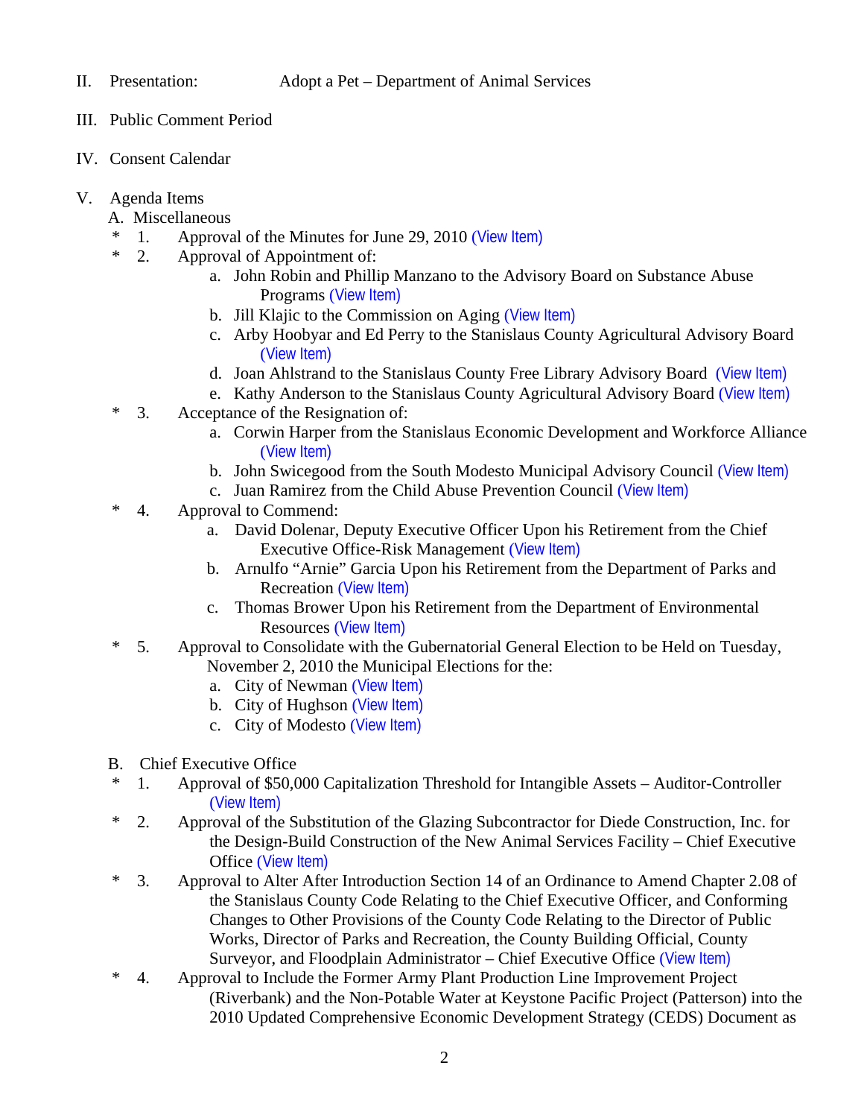- III. Public Comment Period
- IV. Consent Calendar
- V. Agenda Items
	- A. Miscellaneous
	- \* 1. Approval of the Minutes for June 29, 2010 ([View Item\)](http://www.stancounty.com/bos/minutes/2010/min06-29-10.pdf)
	- \* 2. Approval of Appointment of:
		- a. John Robin and Phillip Manzano to the Advisory Board on Substance Abuse Programs ([View Item\)](http://www.stancounty.com/bos/agenda/2010/20100713/A02a.pdf)
		- b. Jill Klajic to the Commission on Aging ([View Item\)](http://www.stancounty.com/bos/agenda/2010/20100713/A02b.pdf)
		- c. Arby Hoobyar and Ed Perry to the Stanislaus County Agricultural Advisory Board ([View Item\)](http://www.stancounty.com/bos/agenda/2010/20100713/A02c.pdf)
		- d. Joan Ahlstrand to the Stanislaus County Free Library Advisory Board ([View Item\)](http://www.stancounty.com/bos/agenda/2010/20100713/A02d.pdf)
		- e. Kathy Anderson to the Stanislaus County Agricultural Advisory Board ([View Item\)](http://www.stancounty.com/bos/agenda/2010/20100713/A02e.pdf)
	- \* 3. Acceptance of the Resignation of:
		- a. Corwin Harper from the Stanislaus Economic Development and Workforce Alliance ([View Item\)](http://www.stancounty.com/bos/agenda/2010/20100713/A03a.pdf)
		- b. John Swicegood from the South Modesto Municipal Advisory Council ([View Item\)](http://www.stancounty.com/bos/agenda/2010/20100713/A03b.pdf)
		- c. Juan Ramirez from the Child Abuse Prevention Council ([View Item\)](http://www.stancounty.com/bos/agenda/2010/20100713/A03c.pdf)
	- \* 4. Approval to Commend:
		- a. David Dolenar, Deputy Executive Officer Upon his Retirement from the Chief Executive Office-Risk Management ([View Item\)](http://www.stancounty.com/bos/agenda/2010/20100713/A04a.pdf)
		- b. Arnulfo "Arnie" Garcia Upon his Retirement from the Department of Parks and Recreation ([View Item\)](http://www.stancounty.com/bos/agenda/2010/20100713/A04b.pdf)
		- c. Thomas Brower Upon his Retirement from the Department of Environmental Resources ([View Item\)](http://www.stancounty.com/bos/agenda/2010/20100713/A04c.pdf)
	- \* 5. Approval to Consolidate with the Gubernatorial General Election to be Held on Tuesday, November 2, 2010 the Municipal Elections for the:
		- a. City of Newman ([View Item\)](http://www.stancounty.com/bos/agenda/2010/20100713/A05a.pdf)
		- b. City of Hughson ([View Item\)](http://www.stancounty.com/bos/agenda/2010/20100713/A05b.pdf)
		- c. City of Modesto ([View Item\)](http://www.stancounty.com/bos/agenda/2010/20100713/A05c.pdf)
	- B. Chief Executive Office
	- \* 1. Approval of \$50,000 Capitalization Threshold for Intangible Assets Auditor-Controller ([View Item\)](http://www.stancounty.com/bos/agenda/2010/20100713/B01.pdf)
	- \* 2. Approval of the Substitution of the Glazing Subcontractor for Diede Construction, Inc. for the Design-Build Construction of the New Animal Services Facility – Chief Executive Office ([View Item\)](http://www.stancounty.com/bos/agenda/2010/20100713/B02.pdf)
	- \* 3. Approval to Alter After Introduction Section 14 of an Ordinance to Amend Chapter 2.08 of the Stanislaus County Code Relating to the Chief Executive Officer, and Conforming Changes to Other Provisions of the County Code Relating to the Director of Public Works, Director of Parks and Recreation, the County Building Official, County Surveyor, and Floodplain Administrator – Chief Executive Office ([View Item\)](http://www.stancounty.com/bos/agenda/2010/20100713/B03.pdf)
	- \* 4. Approval to Include the Former Army Plant Production Line Improvement Project (Riverbank) and the Non-Potable Water at Keystone Pacific Project (Patterson) into the 2010 Updated Comprehensive Economic Development Strategy (CEDS) Document as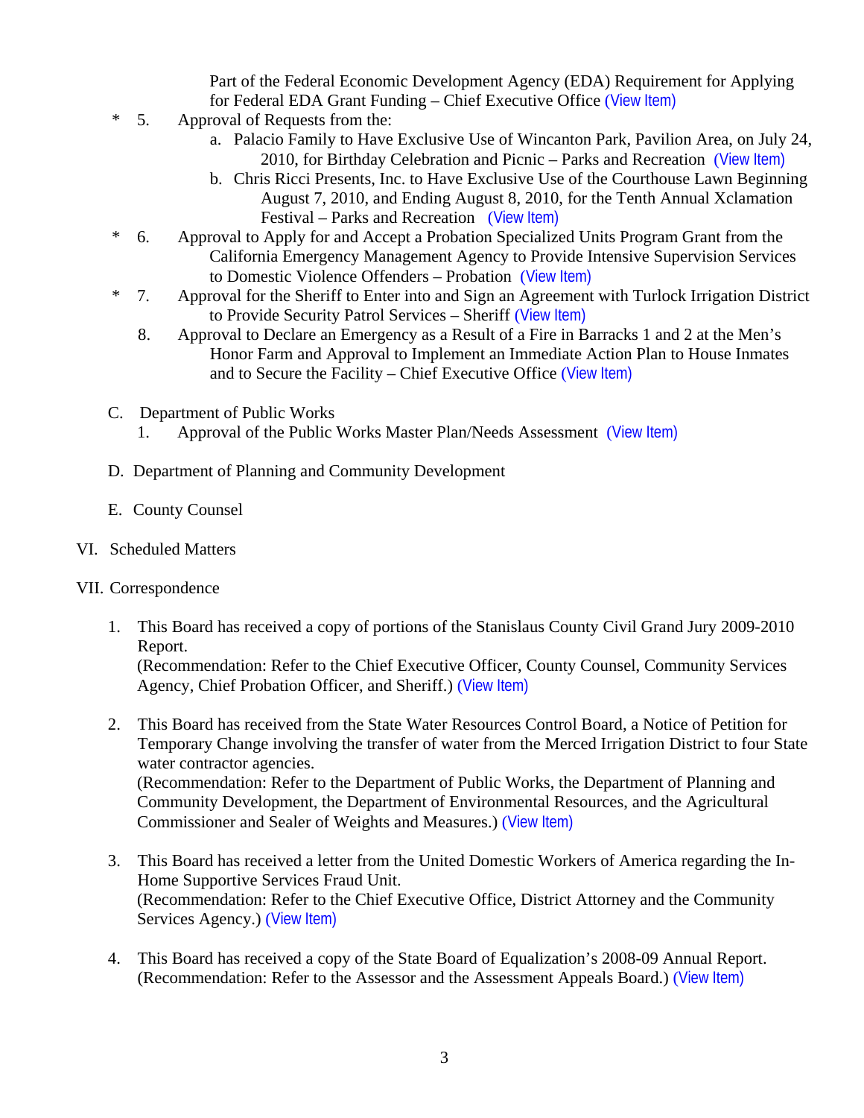Part of the Federal Economic Development Agency (EDA) Requirement for Applying for Federal EDA Grant Funding – Chief Executive Office ([View Item\)](http://www.stancounty.com/bos/agenda/2010/20100713/B04.pdf)

- \* 5. Approval of Requests from the:
	- a. Palacio Family to Have Exclusive Use of Wincanton Park, Pavilion Area, on July 24, 2010, for Birthday Celebration and Picnic – Parks and Recreation ([View Item\)](http://www.stancounty.com/bos/agenda/2010/20100713/B05a.pdf)
	- b. Chris Ricci Presents, Inc. to Have Exclusive Use of the Courthouse Lawn Beginning August 7, 2010, and Ending August 8, 2010, for the Tenth Annual Xclamation Festival – Parks and Recreation ([View Item\)](http://www.stancounty.com/bos/agenda/2010/20100713/B05b.pdf)
- \* 6. Approval to Apply for and Accept a Probation Specialized Units Program Grant from the California Emergency Management Agency to Provide Intensive Supervision Services to Domestic Violence Offenders – Probation ([View Item\)](http://www.stancounty.com/bos/agenda/2010/20100713/B06.pdf)
- \* 7. Approval for the Sheriff to Enter into and Sign an Agreement with Turlock Irrigation District to Provide Security Patrol Services – Sheriff ([View Item\)](http://www.stancounty.com/bos/agenda/2010/20100713/B07.pdf)
	- 8. Approval to Declare an Emergency as a Result of a Fire in Barracks 1 and 2 at the Men's Honor Farm and Approval to Implement an Immediate Action Plan to House Inmates and to Secure the Facility – Chief Executive Office ([View Item\)](http://www.stancounty.com/bos/agenda/2010/20100713/B08.pdf)
- C. Department of Public Works
	- 1. Approval of the Public Works Master Plan/Needs Assessment ([View Item\)](http://www.stancounty.com/bos/agenda/2010/20100713/C01.pdf)
- D. Department of Planning and Community Development
- E. County Counsel

# VI. Scheduled Matters

## VII. Correspondence

1. This Board has received a copy of portions of the Stanislaus County Civil Grand Jury 2009-2010 Report.

(Recommendation: Refer to the Chief Executive Officer, County Counsel, Community Services Agency, Chief Probation Officer, and Sheriff.) ([View Item\)](http://www.stancounty.com/bos/agenda/2010/20100713/Corr01.pdf)

- 2. This Board has received from the State Water Resources Control Board, a Notice of Petition for Temporary Change involving the transfer of water from the Merced Irrigation District to four State water contractor agencies. (Recommendation: Refer to the Department of Public Works, the Department of Planning and Community Development, the Department of Environmental Resources, and the Agricultural Commissioner and Sealer of Weights and Measures.) ([View Item\)](http://www.stancounty.com/bos/agenda/2010/20100713/Corr02.pdf)
- 3. This Board has received a letter from the United Domestic Workers of America regarding the In-Home Supportive Services Fraud Unit. (Recommendation: Refer to the Chief Executive Office, District Attorney and the Community Services Agency.) ([View Item\)](http://www.stancounty.com/bos/agenda/2010/20100713/Corr03.pdf)
- 4. This Board has received a copy of the State Board of Equalization's 2008-09 Annual Report. (Recommendation: Refer to the Assessor and the Assessment Appeals Board.) ([View Item\)](http://www.stancounty.com/bos/agenda/2010/20100713/Corr04.pdf)